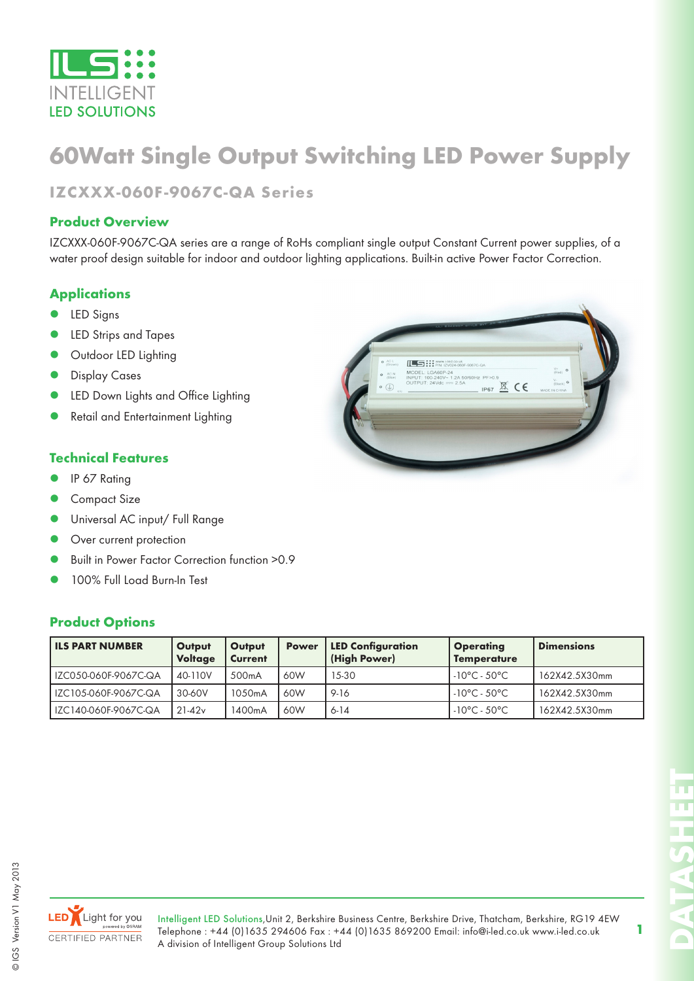

## **60Watt Single Output Switching LED Power Supply**

**IZCXXX-060F-9067C-QA Series**

#### **Product Overview**

IZCXXX-060F-9067C-QA series are a range of RoHs compliant single output Constant Current power supplies, of a water proof design suitable for indoor and outdoor lighting applications. Built-in active Power Factor Correction.

#### **Applications**

- LED Signs
- LED Strips and Tapes
- Outdoor LED Lighting
- Display Cases
- LED Down Lights and Office Lighting
- Retail and Entertainment Lighting

#### **Technical Features**

- IP 67 Rating
- Compact Size
- Universal AC input/ Full Range
- Over current protection
- Built in Power Factor Correction function >0.9
- 100% Full Load Burn-In Test

#### **Product Options**

| <b>ILS PART NUMBER</b> | Output<br><b>Voltage</b> | Output<br><b>Current</b> | <b>Power</b> | <b>LED Configuration</b><br>(High Power) | <b>Operating</b><br><b>Temperature</b> | <b>Dimensions</b> |
|------------------------|--------------------------|--------------------------|--------------|------------------------------------------|----------------------------------------|-------------------|
| IZC050-060F-9067C-QA   | 40-110V                  | 500 <sub>m</sub> A       | 60W          | 15-30                                    | $-10^{\circ}$ C - 50°C                 | 162X42.5X30mm     |
| IZC105-060F-9067C-QA   | 30-60V                   | 1050mA                   | 60W          | 9-16                                     | $-10^{\circ}$ C - 50 $^{\circ}$ C      | 162X42.5X30mm     |
| IZC140-060F-9067C-QA   | $21-42v$                 | 1400mA                   | 60W          | 6-14                                     | $-10^{\circ}$ C - 50 $^{\circ}$ C      | 162X42.5X30mm     |



© IGS Version V1 May 2013

© IGS Version V1 May 2013

Intelligent LED Solutions,Unit 2, Berkshire Business Centre, Berkshire Drive, Thatcham, Berkshire, RG19 4EW Telephone : +44 (0)1635 294606 Fax : +44 (0)1635 869200 Email: info@i-led.co.uk www.i-led.co.uk A division of Intelligent Group Solutions Ltd

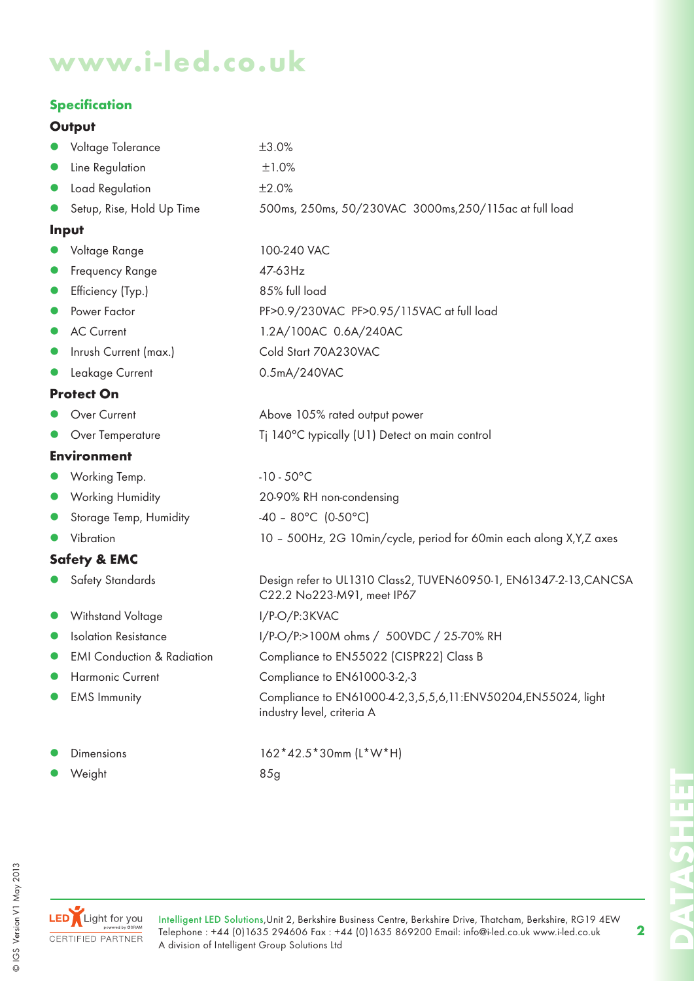# **www.i-led.co.uk**

#### **Specification**

#### **Output**

|           | Voltage Tolerance                     | ±3.0%                                                                                           |
|-----------|---------------------------------------|-------------------------------------------------------------------------------------------------|
| $\bullet$ | Line Regulation                       | ±1.0%                                                                                           |
| $\bullet$ | Load Regulation                       | ±2.0%                                                                                           |
|           | Setup, Rise, Hold Up Time             | 500ms, 250ms, 50/230VAC 3000ms, 250/115ac at full load                                          |
|           | Input                                 |                                                                                                 |
|           | Voltage Range                         | 100-240 VAC                                                                                     |
| $\bullet$ | Frequency Range                       | 47-63Hz                                                                                         |
| $\bullet$ | Efficiency (Typ.)                     | 85% full load                                                                                   |
| $\bullet$ | Power Factor                          | PF>0.9/230VAC PF>0.95/115VAC at full load                                                       |
| $\bullet$ | <b>AC Current</b>                     | 1.2A/100AC 0.6A/240AC                                                                           |
| O         | Inrush Current (max.)                 | Cold Start 70A230VAC                                                                            |
|           | Leakage Current                       | 0.5mA/240VAC                                                                                    |
|           | <b>Protect On</b>                     |                                                                                                 |
|           | Over Current                          | Above 105% rated output power                                                                   |
|           | Over Temperature                      | Tj 140°C typically (U1) Detect on main control                                                  |
|           | <b>Environment</b>                    |                                                                                                 |
|           | Working Temp.                         | $-10 - 50^{\circ}$ C                                                                            |
| $\bullet$ | Working Humidity                      | 20-90% RH non-condensing                                                                        |
| $\bullet$ | Storage Temp, Humidity                | $-40 - 80^{\circ}$ C (0-50°C)                                                                   |
|           | Vibration                             | 10 - 500Hz, 2G 10min/cycle, period for 60min each along X, Y, Z axes                            |
|           | <b>Safety &amp; EMC</b>               |                                                                                                 |
|           | Safety Standards                      | Design refer to UL1310 Class2, TUVEN60950-1, EN61347-2-13, CANCSA<br>C22.2 No223-M91, meet IP67 |
|           | Withstand Voltage                     | I/P-O/P:3KVAC                                                                                   |
|           | <b>Isolation Resistance</b>           | I/P-O/P:>100M ohms / 500VDC / 25-70% RH                                                         |
|           | <b>EMI Conduction &amp; Radiation</b> | Compliance to EN55022 (CISPR22) Class B                                                         |
|           | <b>Harmonic Current</b>               | Compliance to EN61000-3-2,-3                                                                    |
|           | <b>EMS Immunity</b>                   | Compliance to EN61000-4-2,3,5,5,6,11:ENV50204,EN55024, light<br>industry level, criteria A      |
|           | Dimensions                            | 162*42.5*30mm (L*W*H)                                                                           |



Intelligent LED Solutions,Unit 2, Berkshire Business Centre, Berkshire Drive, Thatcham, Berkshire, RG19 4EW Telephone : +44 (0)1635 294606 Fax : +44 (0)1635 869200 Email: info@i-led.co.uk www.i-led.co.uk A division of Intelligent Group Solutions Ltd

**2**